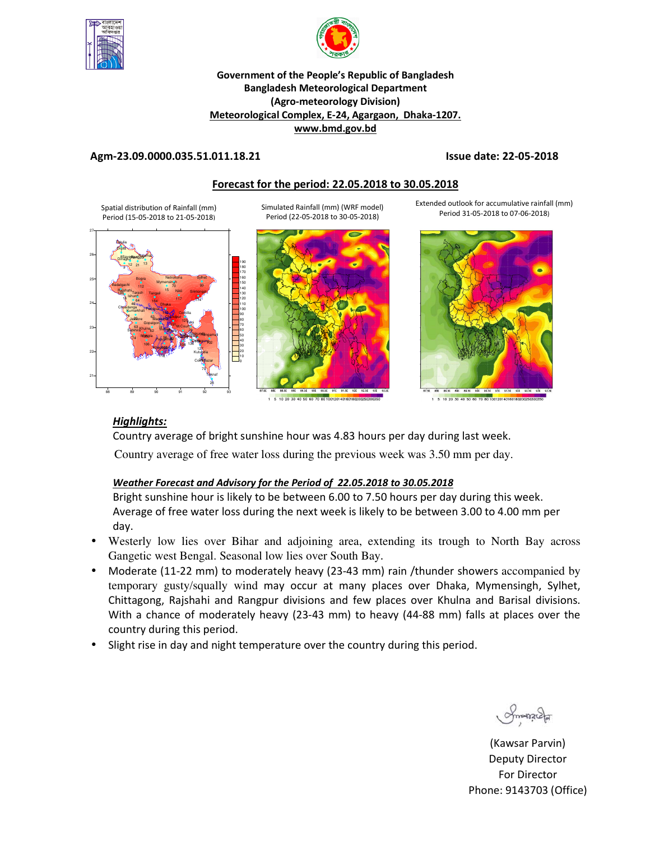



#### **Government of the People's Republic of Bangladesh Bangladesh Meteorological Department (Agro-meteorology Division) Meteorological Complex, E-24, Agargaon, Dhaka-1207. www.bmd.gov.bd**

#### **Agm-23.09.0000.035.51.011.18.21 Issue date: 22-05-2018**

Extended outlook for accumulative rainfall (mm) Period 31-05-2018 to 07-06-2018)

#### **Forecast for the period: 22.05.2018 to 30.05.2018**

Spatial distribution of Rainfall (mm) Period (15-05-2018 to 21-05-2018) Simulated Rainfall (mm) (WRF model) Period (22-05-2018 to 30-05-2018)





10 20 30 40 50 60 70

#### *Highlights:*

Country average of bright sunshine hour was 4.83 hours per day during last week. Country average of free water loss during the previous week was 3.50 mm per day.

#### *Weather Forecast and Advisory for the Period of 22.05.2018 to 30.05.2018*

Bright sunshine hour is likely to be between 6.00 to 7.50 hours per day during this week. Average of free water loss during the next week is likely to be between 3.00 to 4.00 mm per day.

- Westerly low lies over Bihar and adjoining area, extending its trough to North Bay across Gangetic west Bengal. Seasonal low lies over South Bay.
- Moderate (11-22 mm) to moderately heavy (23-43 mm) rain /thunder showers accompanied by temporary gusty/squally wind may occur at many places over Dhaka, Mymensingh, Sylhet, Chittagong, Rajshahi and Rangpur divisions and few places over Khulna and Barisal divisions. With a chance of moderately heavy (23-43 mm) to heavy (44-88 mm) falls at places over the country during this period.
- Slight rise in day and night temperature over the country during this period.

 $S_{\text{max2}}$ 

(Kawsar Parvin) Deputy Director For Director Phone: 9143703 (Office)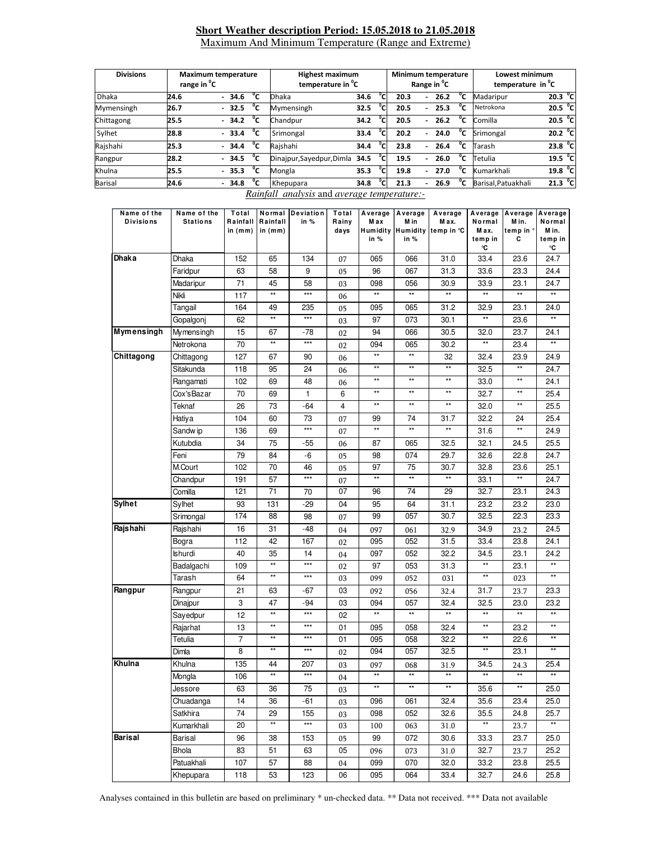#### **Short Weather description Period: 15.05.2018 to 21.05.2018** Maximum And Minimum Temperature (Range and Extreme)

| <b>Divisions</b> | range in <sup>o</sup> C | <b>Maximum temperature</b> |                           | <b>Highest maximum</b><br>temperature in <sup>"</sup> C |     |      |                          | Minimum temperature<br>Range in <sup>v</sup> C |              | Lowest minimum<br>temperature in <sup>o</sup> C |                     |  |
|------------------|-------------------------|----------------------------|---------------------------|---------------------------------------------------------|-----|------|--------------------------|------------------------------------------------|--------------|-------------------------------------------------|---------------------|--|
| <b>Dhaka</b>     | 24.6                    | °c<br>$-34.6$              | <b>Dhaka</b>              | 34.6                                                    | °c  | 20.3 | ٠                        | 26.2                                           | $^0$ C       | Madaripur                                       | 20.3 $^{\circ}$ C   |  |
| Mymensingh       | 26.7                    | °c<br>$-32.5$              | Mymensingh                | 32.5                                                    | °c  | 20.5 | ۰                        | 25.3                                           | °c           | Netrokona                                       | 20.5 $^{\circ}$ C   |  |
| Chittagong       | 25.5                    | °c<br>$-34.2$              | Chandpur                  | 34.2                                                    | °c. | 20.5 | ۰                        | 26.2                                           | $^{\circ}$ c | Comilla                                         | 20.5 $^{\circ}$ C   |  |
| Sylhet           | 28.8                    | °c<br>$-33.4$              | Srimongal                 | 33.4                                                    | °c. | 20.2 | ۰                        | 24.0                                           | $^{\circ}$ c | Srimongal                                       | 20.2 <sup>o</sup> C |  |
| Rajshahi         | 25.3                    | °с<br>$-34.4$              | Raishahi                  | 34.4                                                    | °Cı | 23.8 | $\overline{\phantom{0}}$ | 26.4                                           | °c           | Tarash                                          | 23.8 <sup>o</sup> C |  |
| Rangpur          | 28.2                    | °c<br>$-34.5$              | Dinajpur, Sayedpur, Dimla | 34.5                                                    | °cı | 19.5 | ۰                        | 26.0                                           | $^{\circ}$ c | Tetulia                                         | 19.5 $^{\circ}$ C   |  |
| Khulna           | 25.5                    | °c<br>$-35.3$              | Mongla                    | 35.3                                                    | °cı | 19.8 | ۰                        | 27.0                                           | °c           | Kumarkhali                                      | 19.8 $^{\circ}$ C   |  |
| <b>Barisal</b>   | 24.6                    | °c<br>$-34.8$              | Khepupara                 | 34.8                                                    | °c  | 21.3 |                          | 26.9                                           | $^{\circ}$ c | Barisal, Patuakhali                             | 21.3 $^{\circ}$ C   |  |

*Rainfall analysis* and *average temperature:-*

| Name of the       | Name of the     | Total                 | Normal                | Deviation         | Total          |                 | Average Average | Average                               |                 | Average Average Average |                 |
|-------------------|-----------------|-----------------------|-----------------------|-------------------|----------------|-----------------|-----------------|---------------------------------------|-----------------|-------------------------|-----------------|
| <b>Divisions</b>  | <b>Stations</b> | Rainfall<br>in $(mm)$ | Rainfall<br>in $(mm)$ | in %              | Rainy<br>days  | M a x           | M in            | M ax.<br>Humidity Humidity temp in °C | Normal<br>M ax. | M in.<br>temp in °      | Normal<br>M in. |
|                   |                 |                       |                       |                   |                | in %            | in %            |                                       | temp in<br>°C   | С                       | temp in<br>°C   |
| Dhaka             | Dhaka           | 152                   | 65                    | 134               | 07             | 065             | 066             | 31.0                                  | 33.4            | 23.6                    | 24.7            |
|                   | Faridpur        | 63                    | 58                    | 9                 | 05             | 96              | 067             | 31.3                                  | 33.6            | 23.3                    | 24.4            |
|                   | Madaripur       | 71                    | 45                    | 58                | 03             | 098             | 056             | 30.9                                  | 33.9            | 23.1                    | 24.7            |
|                   | Nikli           | 117                   | $^{\star\star}$       | $\star\star\star$ | 06             | $\star\star$    | $\star\star$    | $^{\star\star}$                       | $\star\star$    | $^{\star\star}$         | $\star\star$    |
|                   | Tangail         | 164                   | 49                    | 235               | 05             | 095             | 065             | 31.2                                  | 32.9            | 23.1                    | 24.0            |
|                   | Gopalgonj       | 62                    | $^{\star\star}$       | $***$             | 03             | 97              | 073             | 30.1                                  | $\star\star$    | 23.6                    | $**$            |
| <b>Mymensingh</b> | Mymensingh      | 15                    | 67                    | -78               | 02             | 94              | 066             | 30.5                                  | 32.0            | 23.7                    | 24.1            |
|                   | Netrokona       | 70                    | $\star\star$          | $\star\star\star$ | 02             | 094             | 065             | 30.2                                  | $\star\star$    | 23.4                    | $\star\star$    |
| Chittagong        | Chittagong      | 127                   | 67                    | 90                | 06             | $\star\star$    | $\star\star$    | 32                                    | 32.4            | 23.9                    | 24.9            |
|                   | Sitakunda       | 118                   | 95                    | 24                | 06             | $\star\star$    | $\star\star$    | $\star\star$                          | 32.5            | $\star\star$            | 24.7            |
|                   | Rangamati       | 102                   | 69                    | 48                | 06             | $\star\star$    | $^{\star\star}$ | $\star\star$                          | 33.0            | $\star\star$            | 24.1            |
|                   | Cox'sBazar      | 70                    | 69                    | $\mathbf{1}$      | 6              | $^{\star\star}$ | **              | $**$                                  | 32.7            | $\star\star$            | 25.4            |
|                   | Teknaf          | 26                    | 73                    | -64               | $\overline{4}$ | $\star\star$    | $\star\star$    | $\star\star$                          | 32.0            | $\star\star$            | 25.5            |
|                   | Hatiya          | 104                   | 60                    | 73                | 07             | 99              | 74              | 31.7                                  | 32.2            | 24                      | 25.4            |
|                   | Sandw ip        | 136                   | 69                    | $***$             | 07             | $\star\star$    | $\star\star$    | $^{\star\star}$                       | 31.6            | $\star\star$            | 24.9            |
|                   | Kutubdia        | 34                    | 75                    | $-55$             | 06             | 87              | 065             | 32.5                                  | 32.1            | 24.5                    | 25.5            |
|                   | Feni            | 79                    | 84                    | -6                | 05             | 98              | 074             | 29.7                                  | 32.6            | 22.8                    | 24.7            |
|                   | M.Court         | 102                   | 70                    | 46                | 05             | 97              | 75              | 30.7                                  | 32.8            | 23.6                    | 25.1            |
|                   | Chandpur        | 191                   | 57                    | ***               | 07             | $\star\star$    | **              | **                                    | 33.1            | $\star\star$            | 24.7            |
|                   | Comilla         | 121                   | 71                    | 70                | 07             | 96              | $\overline{74}$ | 29                                    | 32.7            | 23.1                    | 24.3            |
| <b>Sylhet</b>     | Sylhet          | 93                    | 131                   | -29               | 04             | 95              | 64              | 31.1                                  | 23.2            | 23.2                    | 23.0            |
|                   | Srimongal       | 174                   | 88                    | 98                | 07             | 99              | 057             | 30.7                                  | 32.5            | 22.3                    | 23.3            |
| Rajshahi          | Rajshahi        | 16                    | 31                    | $-48$             | 04             | 097             | 061             | 32.9                                  | 34.9            | 23.2                    | 24.5            |
|                   | Bogra           | 112                   | 42                    | 167               | 02             | 095             | 052             | 31.5                                  | 33.4            | 23.8                    | 24.1            |
|                   | Ishurdi         | 40                    | 35                    | 14                | 04             | 097             | 052             | 32.2                                  | 34.5            | 23.1                    | 24.2            |
|                   | Badalgachi      | 109                   | $\star\star$          | ***               | 02             | 97              | 053             | 31.3                                  | $\star\star$    | 23.1                    | $\star\star$    |
|                   | Tarash          | 64                    | $**$                  | $***$             | 03             | 099             | 052             | 031                                   | $**$            | 023                     | $**$            |
| Rangpur           | Rangpur         | 21                    | 63                    | -67               | 03             | 092             | 056             | 32.4                                  | 31.7            | 23.7                    | 23.3            |
|                   | Dinajpur        | 3                     | 47                    | -94               | 03             | 094             | 057             | 32.4                                  | 32.5            | 23.0                    | 23.2            |
|                   | Sayedpur        | 12                    | $\star\star$          | $***$             | 02             | $\star\star$    | $\star\star$    | $\star\star$                          | $\star\star$    | $\star\star$            | $**$            |
|                   | Rajarhat        | 13                    | $^{\star\star}$       | $***$             | 01             | 095             | 058             | 32.4                                  | $\star\star$    | 23.2                    | $**$            |
|                   | Tetulia         | $\overline{7}$        | $^{\star\star}$       | $***$             | 01             | 095             | 058             | 32.2                                  | $\star\star$    | 22.6                    | $**$            |
|                   | Dimla           | 8                     | $**$                  | $\star\star\star$ | 02             | 094             | 057             | 32.5                                  | $**$            | 23.1                    | $**$            |
| Khulna            | Khulna          | 135                   | 44                    | 207               | 03             | 097             | 068             | 31.9                                  | 34.5            | 24.3                    | 25.4            |
|                   | Mongla          | 106                   | $\star\star$          | $***$             | 04             | $\star\star$    | $\star\star$    | $\star\star$                          | $\star\star$    | $**$                    | $\star\star$    |
|                   | Jessore         | 63                    | 36                    | 75                | 03             | $^{\star\star}$ | $^{\star\star}$ | $***$                                 | 35.6            | $^{\star\star}$         | 25.0            |
|                   | Chuadanga       | 14                    | 36                    | -61               | 03             | 096             | 061             | 32.4                                  | 35.6            | 23.4                    | 25.0            |
|                   | Satkhira        | 74                    | 29                    | 155               | 03             | 098             | 052             | 32.6                                  | 35.5            | 24.8                    | 25.7            |
|                   | Kumarkhali      | 20                    | $^{\star\star}$       | $\star\star\star$ | 03             | 100             | 063             | 31.0                                  | $**$            | 23.7                    | **              |
| <b>Barisal</b>    | Barisal         | 96                    | 38                    | 153               | 05             | 99              | 072             | 30.6                                  | 33.3            | 23.7                    | 25.0            |
|                   | Bhola           | 83                    | 51                    | 63                | 05             | 096             | 073             | 31.0                                  | 32.7            | 23.7                    | 25.2            |
|                   | Patuakhali      | 107                   | 57                    | 88                | 04             | 099             | 070             | 32.0                                  | 33.2            | 23.8                    | 25.5            |
|                   | Khepupara       | 118                   | 53                    | 123               | 06             | 095             | 064             | 33.4                                  | 32.7            | 24.6                    | 25.8            |

Analyses contained in this bulletin are based on preliminary \* un-checked data. \*\* Data not received. \*\*\* Data not available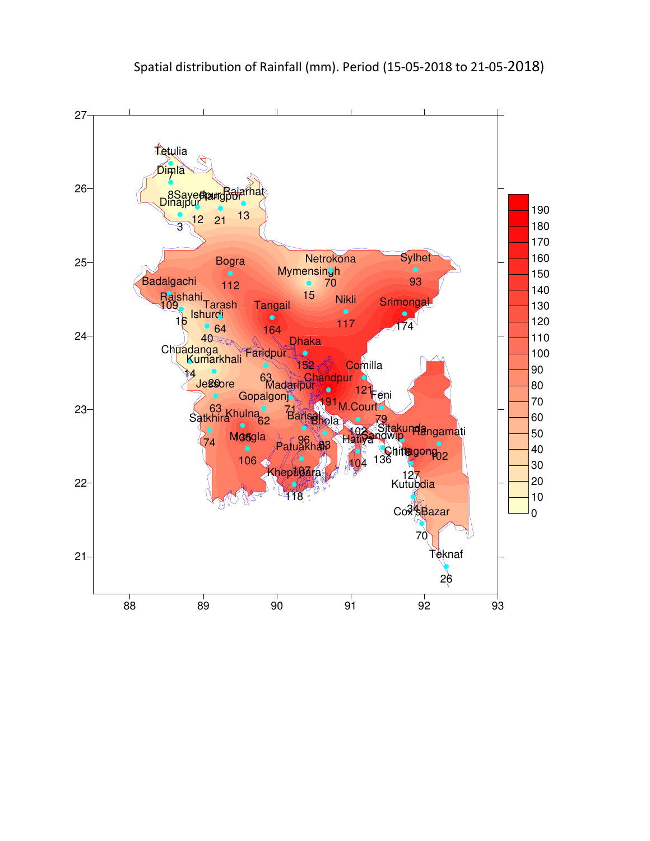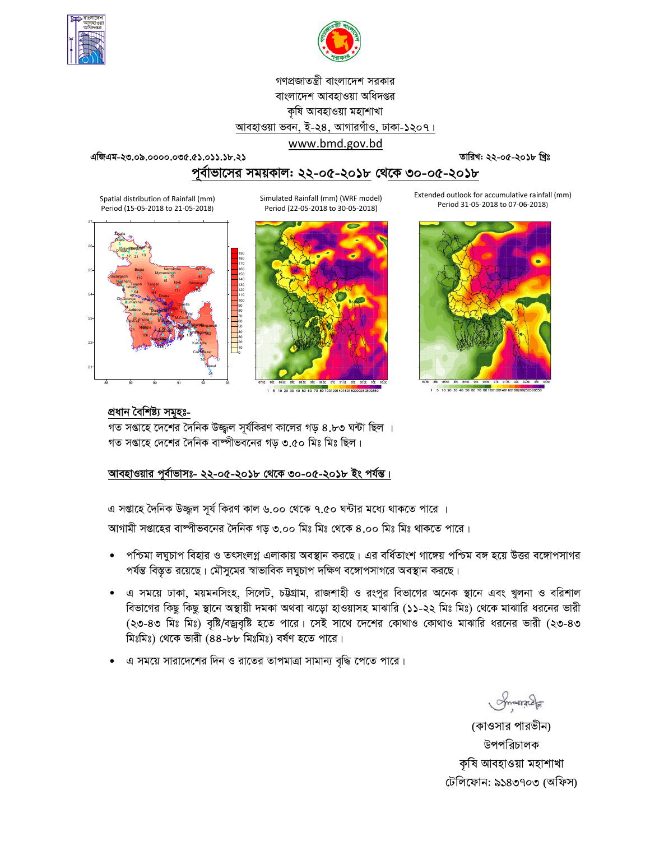



# গণপ্রজাতন্ত্রী বাংলাদেশ সরকার বাংলাদেশ আবহাওয়া অধিদপ্তর কৃষি আবহাওয়া মহাশাখা আবহাওয়া ভবন, ই-২৪, আগারগাঁও, ঢাকা-১২০৭।

www.bmd.gov.bd

এজিএম-২৩.০৯.০০০০.০৩৫.৫১.০১১.১৮.২১

তারিখ: ২২-০৫-২০১৮ খ্রিঃ

পূর্বাভাসের সময়কাল: ২২-০৫-২০১৮ থেকে ৩০-০৫-২০১৮

Spatial distribution of Rainfall (mm) Period (15-05-2018 to 21-05-2018)

Simulated Rainfall (mm) (WRF model) Period (22-05-2018 to 30-05-2018)





1 5 10 20 30 40 50 60 70 80 100120140160180200250300

Extended outlook for accumulative rainfall (mm) Period 31-05-2018 to 07-06-2018)



#### প্ৰধান বৈশিষ্ট্য সমূহঃ-

গত সপ্তাহে দেশের দৈনিক উজ্জল সূর্যকিরণ কালের গড় ৪.৮৩ ঘন্টা ছিল । গত সপ্তাহে দেশের দৈনিক বাষ্পীভবনের গড ৩.৫০ মিঃ মিঃ ছিল।

## আবহাওয়ার পূর্বাভাসঃ- ২২-০৫-২০১৮ থেকে ৩০-০৫-২০১৮ ইং পর্যন্ত।

এ সপ্তাহে দৈনিক উজ্জল সূর্য কিরণ কাল ৬.০০ থেকে ৭.৫০ ঘন্টার মধ্যে থাকতে পারে ।

আগামী সপ্তাহের বাষ্পীভবনের দৈনিক গড় ৩.০০ মিঃ মিঃ থেকে ৪.০০ মিঃ মিঃ থাকতে পারে।

- পশ্চিমা লঘুচাপ বিহার ও তৎসংলগ্ন এলাকায় অবস্থান করছে। এর বর্ধিতাংশ গাঙ্গেয় পশ্চিম বঙ্গ হয়ে উত্তর বঙ্গোপসাগর  $\bullet$ পর্যন্ত বিস্তৃত রয়েছে। মৌসুমের স্বাভাবিক লঘুচাপ দক্ষিণ বঙ্গোপসাগরে অবস্থান করছে।
- এ সময়ে ঢাকা, ময়মনসিংহ, সিলেট, চউগ্রাম, রাজশাহী ও রংপুর বিভাগের অনেক স্থানে এবং খুলনা ও বরিশাল বিভাগের কিছু কিছু স্থানে অস্থায়ী দমকা অথবা ঝড়ো হাওয়াসহ মাঝারি (১১-২২ মিঃ মিঃ) থেকে মাঝারি ধরনের ভারী (২৩-৪৩ মিঃ মিঃ) বৃষ্টি/বজ্রবৃষ্টি হতে পারে। সেই সাথে দেশের কোথাও কোথাও মাঝারি ধরনের ভারী (২৩-৪৩ মিঃমিঃ) থেকে ভারী (৪৪-৮৮ মিঃমিঃ) বর্ষণ হতে পারে।
- এ সময়ে সারাদেশের দিন ও রাতের তাপমাত্রা সামান্য বৃদ্ধি পেতে পারে।

Smanach

(কাওসার পারভীন) উপপরিচালক কৃষি আবহাওয়া মহাশাখা টেলিফোন: ৯১৪৩৭০৩ (অফিস)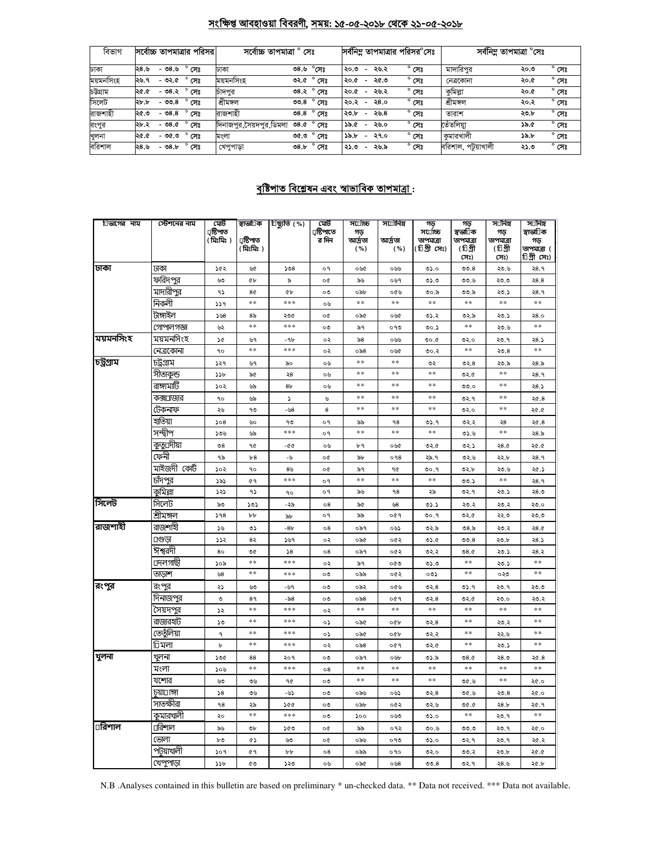### <u>সংক্ষিপ্ত আবহাওয়া বিবরণী, সময়: ১৫-০৫-২০১৮ থেকে ২১-০৫-২০১৮</u>

| বিভাগ     | সর্বোচ্চ তাপমাত্রার পরিসর         | সৰ্বোচ্চ তাপমাত্ৰা ° সেঃ |                        | সর্বনিম্ন তাপমাত্রার পরিসর <sup>o</sup> সেঃ |                |                    | সৰ্বনিম্ন তাপমাত্ৰা °সেঃ |
|-----------|-----------------------------------|--------------------------|------------------------|---------------------------------------------|----------------|--------------------|--------------------------|
| ঢাকা      | ২৪.৬<br>- ৩৪.৬<br>সেঃ             | ঢাকা                     | $^{\circ}$ সেঃ<br>৩৪.৬ | ২৬.২<br>২০.৩<br>$\overline{\phantom{a}}$    | $^{\circ}$ সেঃ | মাদারিপর           | $^{\circ}$ সেঃ<br>২০.৩   |
| ময়মনসিংহ | ২৬.৭<br>- ৩২.৫<br>সেঃ             | ময়মনসিংহ                | $^{\circ}$ সেঃ<br>৩২.৫ | ২৫.৩<br>২০.৫<br>$\overline{\phantom{a}}$    | $^{\circ}$ সেঃ | নেত্ৰকোনা          | $^{\circ}$ সেঃ<br>২০.৫   |
| চউগ্ৰাম   | $^{\circ}$ সেঃ<br>- ৩৪.২<br>২৫.৫  | চাদপুর                   | ৩৪.২° সেঃ              | ২৬.২<br>২০.৫<br>$\overline{\phantom{a}}$    | $^{\circ}$ সেঃ | কুমিল্লা           | $^{\circ}$ সেঃ<br>২০.৫   |
| সিলেট     | ২৮.৮<br>- ৩৩.৪<br>সেঃ             | শ্ৰীমঙ্গল                | $^{\circ}$ সেঃ<br>೦೦.8 | ২8.०<br>২০.২<br>$\overline{\phantom{a}}$    | $^{\circ}$ সেঃ | শ্ৰীমঙ্গল          | $^{\circ}$ সেঃ<br>২০.২   |
| রাজশাহী   | $-08.8$<br>২৫.৩<br>সেঃ            | রাজশাহী                  | <b>ి.8</b> ඇ           | ২৬.৪<br>২৩.৮<br>$\overline{\phantom{0}}$    | $^{\circ}$ সেঃ | তারাশ              | $^{\circ}$ সেঃ<br>২৩.৮   |
| রংপুর     | $^{\circ}$ সেঃ<br>২৮.২<br>$-0.8c$ | দিনাজপুর,সৈয়দপুর,ডিমলা  | $^{\circ}$ সেঃ<br>98.0 | ১৯.৫<br>২৬.০<br>$\overline{\phantom{0}}$    | $^{\circ}$ সেঃ | তেঁতলিয়া          | $^{\circ}$ সেঃ<br>১৯.৫   |
| খুলনা     | $^{\circ}$ সেঃ<br>২৫.৫<br>- ৩৫.৩  | মংলা                     | $^{\circ}$ সেঃ<br>৩৫.৩ | ১৯.৮<br>২৭.০<br>$\overline{\phantom{0}}$    | $^{\circ}$ সেঃ | কমারখালী           | $^{\circ}$ সেঃ<br>১৯.৮   |
| বরিশাল    | $-08.5$<br>২৪.৬<br>সেঃ            | খেপুপাড়া                | $^{\circ}$ সেঃ<br>08.5 | ২৬.৯<br>২১.৩<br>$\overline{\phantom{a}}$    | $^{\circ}$ সেঃ | বরিশাল, পটুয়াখালী | $^{\circ}$ সেঃ<br>২১.৩   |

## <u> বৃষ্টিপাত বিশ্লেষন এবং স্বাভাবিক তাপমাত্ৰা :</u>

| া⊡ভাগের নাম             | স্টেশনের নাম   | মেট<br>্ৰষ্টিপাত<br>( মিঃমিঃ ) | স্বাভা⊡ক<br>্ৰষ্টিপাত<br>( মিঃমিঃ ) | টিছ্যুতি (%)   | মেট<br>্রষ্টিপাতে<br>র দিন | স⊔োঁচ্চ<br>গড<br>আৰ্দ্ৰতা<br>( %) | স∪োনিম<br>আৰ্দ্ৰতা<br>( %) | গড়<br>স⊡চ্চি<br>তাপমাত্রা<br>(টিগ্রীসেঃ) | গড়<br>স্বভা∏ক<br>তাপমাত্রা<br>(টিগ্রী<br>সেঃ) | স⊡নিম<br>গড়<br>তাপমাত্রা<br>(টিগ্রী<br>সেঃ) | স⊡নিম<br>স্বাভা∏ক<br>গড়<br>তাপমাত্রা (<br>চিগ্ৰীসেঃ) |
|-------------------------|----------------|--------------------------------|-------------------------------------|----------------|----------------------------|-----------------------------------|----------------------------|-------------------------------------------|------------------------------------------------|----------------------------------------------|-------------------------------------------------------|
| ঢাকা                    | ঢাকা           | ১৫২                            | ৬৫                                  | 508            | ο٩                         | ০৬৫                               | ০৬৬                        | 0.60                                      | 00.8                                           | ২৩.৬                                         | २8.१                                                  |
|                         | ফরিদপুর        | ৬৩                             | <b>G</b>                            | ৯              | o¢                         | ৯৬                                | ০৬৭                        | 0.0                                       | ৩৩.৬                                           | ২৩.৩                                         | 28.8                                                  |
|                         | মাদারীপুর      | ۹۵                             | 8¢                                  | Qb             | $\circ \circ$              | ০৯৮                               | ০৫৬                        | ৩০.৯                                      | ৩৩.৯                                           | ২৩.১                                         | २8.१                                                  |
|                         | নিকলী          | 339                            | **                                  | ***            | ০৬                         | $* *$                             | $**$                       | $\pm$ $\pm$                               | $\pm \pm$                                      | $\pm \pm$                                    | $* *$                                                 |
|                         | টাঙ্গাইল       | 508                            | 8 <sub>o</sub>                      | ২৩৫            | oc                         | ০৯৫                               | ০৬৫                        | ৩১.২                                      | ৩২.৯                                           | ২৩.১                                         | 28.0                                                  |
|                         | গোপালগজ্ঞ      | ৬২                             | $* *$                               | ***            | ০৩                         | ৯৭                                | ०१७                        | ৩০.১                                      | $\ast$                                         | ২৩.৬                                         | $\ast$                                                |
| ময়মনসিংহ               | ময়মনসিংহ      | 5¢                             | ৬৭                                  | -9৮            | ०२                         | ৯ $8$                             | ০৬৬                        | 0.00                                      | ৩২.০                                           | ২৩.৭                                         | 28.5                                                  |
|                         | নেত্রকোনা      | ٩o                             | **                                  | ***            | ০২                         | $\circ$ ৯8                        | ০৬৫                        | ৩০.২                                      | **                                             | 20.8                                         | $**$                                                  |
| চট্টগ্ৰাম               | চট্ৰগ্ৰাম      | ১২৭                            | ৬৭                                  | ৯০             | ০৬                         | $\pm$ $\pm$                       | $\pm$ $\pm$                | ৩২                                        | 02.8                                           | ২৩.৯                                         | ২ $8.5$                                               |
|                         | সীতাকুন্ড      | 55b                            | ৯৫                                  | ২8             | ০৬                         | $**$                              | $**$                       | $**$                                      | ৩২.৫                                           | $\ast\ast$                                   | २8.१                                                  |
|                         | রাঙ্গামার্টি   | ১০২                            | ৬৯                                  | 8 <sub>b</sub> | ০৬                         | $\ast$                            | $**$                       | $\ast$                                    | 0.00                                           | $\ast$                                       | 28.5                                                  |
|                         | কক্স⊔াজার      | ٩o                             | ৬৯                                  | <sup>2</sup>   | ৬                          | $\ast$                            | **                         | **                                        | ৩২.৭                                           | $**$                                         | 20.8                                                  |
|                         | টেকনাফ         | ২৬                             | ৭৩                                  | -৬8            | 8                          | $\ast$ $\ast$                     | $**$                       | **                                        | ৩২.০                                           | **                                           | ২৫.৫                                                  |
|                         | হাতিয়া        | 508                            | ৬০                                  | ۹৩             | ο٩                         | ৯৯                                | 98                         | 05.9                                      | ৩২.২                                           | ২৪                                           | 20.8                                                  |
|                         | সন্দ্বীপ       | ১৩৬                            | ৬৯                                  | ***            | o٩                         | $**$                              | **                         | $**$                                      | 0.60                                           | **                                           | ২8.৯                                                  |
|                         | কুতু্⊔দীয়া    | $\mathcal{O}8$                 | ٩৫                                  | -00            | ০৬                         | ৮৭                                | ০৬৫                        | ৩২.৫                                      | ৩২.১                                           | 28.0                                         | 20.0                                                  |
|                         | ফেনী           | ৭৯                             | b8                                  | -4             | o¢                         | ৯৮                                | 098                        | ২৯.৭                                      | ৩২.৬                                           | ২২.৮                                         | २8.१                                                  |
|                         | মাইজদী কোঁট    | ১০২                            | ٩o                                  | 8 <sub>b</sub> | o¢                         | ৯৭                                | 90                         | ৩০.৭                                      | ৩২.৮                                           | ২৩.৬                                         | ২৫.১                                                  |
|                         | চাঁদপুর        | ১৯১                            | 69                                  | ***            | o٩                         | $* *$                             | $\pm$ $\pm$                | $\ast$ $\ast$                             | 00.5                                           | $\pm\pm$                                     | २8.१                                                  |
|                         | কুমিল্লা       | ১২১                            | ۹১                                  | ٩o             | o٩                         | ৯৬                                | ٩8                         | ২৯                                        | ৩২.৭                                           | ২৩.১                                         | ২৪.৩                                                  |
| সিলেট                   | সিলেট          | ৯৩                             | ১৩১                                 | -২৯            | $\circ 8$                  | ৯৫                                | ৬৪                         | ৩১.১                                      | ২৩.২                                           | ২৩.২                                         | ২৩.০                                                  |
|                         | শ্ৰীমঙ্গল      | 598                            | ৮৮                                  | ৯৮             | o٩                         | ৯৯                                | ०৫१                        | ৩০.৭                                      | ৩২.৫                                           | ২২.৩                                         | ২৩.৩                                                  |
| রাজশাহী                 | রাজশাইী        | ১৬                             | ৩১                                  | $-8b$          | $\circ$ 8                  | ०৯१                               | ০৬১                        | ৩২.৯                                      | 08.5                                           | ২৩.২                                         | 28.0                                                  |
|                         | ⊔গুডা          | ১১২                            | 82                                  | ১৬৭            | ०२                         | ০৯৫                               | ০৫২                        | 0.6                                       | 00.8                                           | ২৩.৮                                         | 28.5                                                  |
|                         | ঈশ্বরদী        | 80                             | ৩৫                                  | 58             | $\circ 8$                  | ০৯৭                               | ০৫২                        | ৩২.২                                      | 08.0                                           | ২৩.১                                         | ২৪.২                                                  |
|                         | ⊔দলগাছী        | ১০৯                            | **                                  | ***            | ०२                         | ৯৭                                | ০৫৩                        | ৩১.৩                                      | **                                             | ২৩.১                                         | **                                                    |
|                         | তাডাশ          | ৬৪                             | **                                  | $* * *$        | ০৩                         | ০৯৯                               | ০৫২                        | ০৩১                                       | **                                             | ০২৩                                          | $**$                                                  |
| রংপুর                   | রংপুর          | ২১                             | والنا                               | -৬৭            | ০৩                         | ০৯২                               | ০৫৬                        | 02.8                                      | ৩১.৭                                           | ২৩.৭                                         | ২৩.৩                                                  |
|                         | দিনাজপুর       | ৩                              | 89                                  | -৯৪            | ০৩                         | $\circ$ ನಿ8                       | ०৫१                        | 02.8                                      | ৩২.৫                                           | ২৩.০                                         | ২৩.২                                                  |
|                         | সৈয়দপুর       | ১২                             | **                                  | ***            | ०२                         | $\pm$ $\pm$                       | $\pm$ $\pm$                | **                                        | **                                             | **                                           | **                                                    |
|                         | রাজারহাট       | ১৩                             | **                                  | ***            | ০১                         | ০৯৫                               | ০৫৮                        | ৩২.৪                                      | **                                             | ২৩.২                                         | **                                                    |
|                         | তেতুঁলিয়া     | ٩                              | **                                  | ***            | $\circ$                    | ০৯৫                               | oQb                        | ৩২.২                                      | $\ast$                                         | ২২.৬                                         | **                                                    |
|                         | <u> তিমলা</u>  | Ъ                              | $* *$                               | ***            | ०२                         | 0.88                              | ०৫१                        | ৩২.৫                                      | $**$                                           | ২৩.১                                         | $**$                                                  |
| খুলনা                   | খুলনা          | ১৩৫                            | 88                                  | ২০৭            | $\circ \circ$              | ০৯৭                               | ০৬৮                        | ৩১.৯                                      | 08.0                                           | 28.0                                         | 20.8                                                  |
|                         | মংলা           | ১০৬                            | **                                  | ***            | $\circ 8$                  | $\ast$ $\ast$                     | **                         | **                                        | **                                             | **                                           | **                                                    |
|                         | যশোর           | ৬৩                             | ৩৬                                  | 90             | ০৩                         | $\pm$ $\pm$                       | $\ast$                     | $\pm$ $\pm$                               | 9.90                                           | **                                           | ২৫.০                                                  |
|                         | চয়া⊡াঙ্গা     | $\sqrt{8}$                     | ৩৬                                  | -৬১            | ০৩                         | ০৯৬                               | ০৬১                        | 02.8                                      | 0.90                                           | 20.8                                         | ২৫.০                                                  |
|                         | সাতক্ষীরা      | ۹8                             | ২৯                                  | 200            | ০৩                         | ০৯৮                               | ০৫২                        | ৩২.৬                                      | 0.90                                           | 28.5                                         | ২৫.৭                                                  |
|                         | কুমারখালী      | ২০                             | $* *$                               | ***            | ০৩                         | 500                               | ০৬৩                        | 0.40                                      | $\pm$ $\pm$                                    | ২৩.৭                                         | $\pm$ $\pm$                                           |
| $\overline{\Box}$ রিশাল | <u> ⊓রিশাল</u> | ৯৬                             | ৩৮                                  | ১৫৩            | o¢                         | ৯৯                                | ०१२                        | ৩০.৬                                      | 0.00                                           | ২৩.৭                                         | ২৫.০                                                  |
|                         | ভোলা           | ৮৩                             | œ۵                                  | ৬৩             | o¢                         | ০৯৬                               | ०१७                        | 0.20                                      | ৩২.৭                                           | ২৩.৭                                         | ২৫.২                                                  |
|                         | পটুয়াখালী     | ১০৭                            | 69                                  | bþ             | 08                         | ০৯৯                               | ०१०                        | ৩২.০                                      | ৩৩.২                                           | ২৩.৮                                         | ২৫.৫                                                  |
|                         | খেপুপাড়া      | 55b                            | ৫৩                                  | ১২৩            | ০৬                         | ০৯৫                               | 0.58                       | 00.8                                      | ৩২.৭                                           | ২৪.৬                                         | ২৫.৮                                                  |

N.B .Analyses contained in this bulletin are based on preliminary \* un-checked data. \*\* Data not received. \*\*\* Data not available.